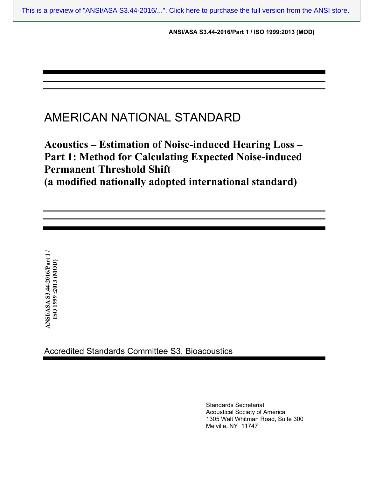**ANSI/ASA S3.44-2016/Part 1 / ISO 1999:2013 (MOD)** 

# AMERICAN NATIONAL STANDARD

**Acoustics – Estimation of Noise-induced Hearing Loss – Part 1: Method for Calculating Expected Noise-induced Permanent Threshold Shift (a modified nationally adopted international standard)** 

ANSI/ASA S3.44-2016/Part 1/ **ANSI/ASA S3.44-2016/Part 1 / ISO 1999 :2013 (MOD)**  ISO 1999 :2013 (MOD)

Accredited Standards Committee S3, Bioacoustics

 Standards Secretariat Acoustical Society of America 1305 Walt Whitman Road, Suite 300 Melville, NY 11747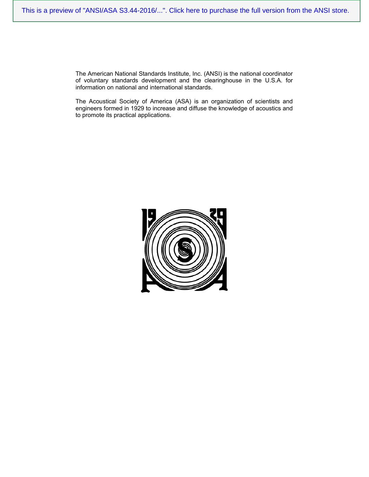The American National Standards Institute, Inc. (ANSI) is the national coordinator of voluntary standards development and the clearinghouse in the U.S.A. for information on national and international standards.

The Acoustical Society of America (ASA) is an organization of scientists and engineers formed in 1929 to increase and diffuse the knowledge of acoustics and to promote its practical applications.

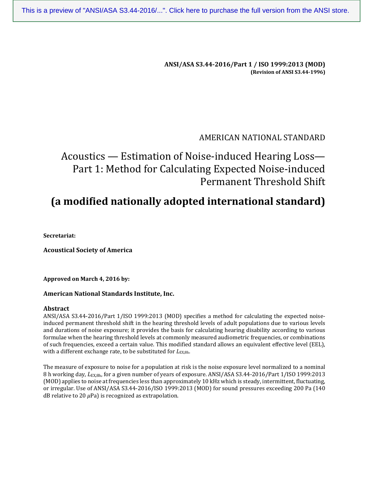**ANSI/ASA S3.44‐2016/Part 1 / ISO 1999:2013 (MOD) (Revision of ANSI S3.44‐1996)**

## AMERICAN NATIONAL STANDARD

## Acoustics — Estimation of Noise-induced Hearing Loss— Part 1: Method for Calculating Expected Noise-induced Permanent Threshold Shift

## **(a modified nationally adopted international standard)**

**Secretariat:**

**Acoustical Society of America**

**Approved on March 4, 2016 by:**

#### **American National Standards Institute, Inc.**

#### **Abstract**

ANSI/ASA S3.44-2016/Part 1/ISO 1999:2013 (MOD) specifies a method for calculating the expected noiseinduced permanent threshold shift in the hearing threshold levels of adult populations due to various levels and durations of noise exposure; it provides the basis for calculating hearing disability according to various formulae when the hearing threshold levels at commonly measured audiometric frequencies, or combinations of such frequencies, exceed a certain value. This modified standard allows an equivalent effective level (EEL), with a different exchange rate, to be substituted for *LEX,8h*.

The measure of exposure to noise for a population at risk is the noise exposure level normalized to a nominal 8 h working day, *L*<sub>EX,8h</sub>, for a given number of years of exposure. ANSI/ASA S3.44-2016/Part 1/ISO 1999:2013 (MOD) applies to noise at frequencies less than approximately 10 kHz which is steady, intermittent, fluctuating, or irregular. Use of ANSI/ASA S3.44-2016/ISO 1999:2013 (MOD) for sound pressures exceeding 200 Pa (140) dB relative to 20  $\mu$ Pa) is recognized as extrapolation.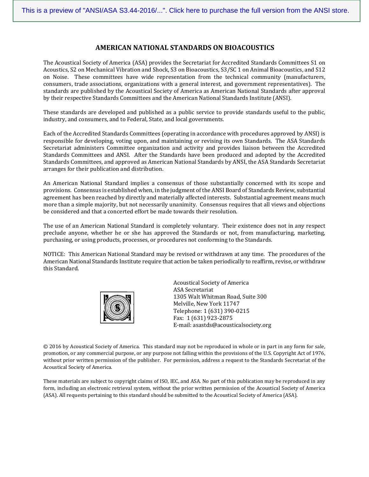#### **AMERICAN NATIONAL STANDARDS ON BIOACOUSTICS**

The Acoustical Society of America (ASA) provides the Secretariat for Accredited Standards Committees S1 on Acoustics, S2 on Mechanical Vibration and Shock, S3 on Bioacoustics, S3/SC 1 on Animal Bioacoustics, and S12 on Noise. These committees have wide representation from the technical community (manufacturers, consumers, trade associations, organizations with a general interest, and government representatives). The standards are published by the Acoustical Society of America as American National Standards after approval by their respective Standards Committees and the American National Standards Institute (ANSI).

These standards are developed and published as a public service to provide standards useful to the public, industry, and consumers, and to Federal, State, and local governments.

Each of the Accredited Standards Committees (operating in accordance with procedures approved by ANSI) is responsible for developing, voting upon, and maintaining or revising its own Standards. The ASA Standards Secretariat administers Committee organization and activity and provides liaison between the Accredited Standards Committees and ANSI. After the Standards have been produced and adopted by the Accredited Standards Committees, and approved as American National Standards by ANSI, the ASA Standards Secretariat arranges for their publication and distribution.

An American National Standard implies a consensus of those substantially concerned with its scope and provisions. Consensus is established when, in the judgment of the ANSI Board of Standards Review, substantial agreement has been reached by directly and materially affected interests. Substantial agreement means much more than a simple majority, but not necessarily unanimity. Consensus requires that all views and objections be considered and that a concerted effort be made towards their resolution.

The use of an American National Standard is completely voluntary. Their existence does not in any respect preclude anyone, whether he or she has approved the Standards or not, from manufacturing, marketing, purchasing, or using products, processes, or procedures not conforming to the Standards.

NOTICE: This American National Standard may be revised or withdrawn at any time. The procedures of the American National Standards Institute require that action be taken periodically to reaffirm, revise, or withdraw this Standard.



Acoustical Society of America ASA Secretariat 1305 Walt Whitman Road, Suite 300 Melville, New York 11747 Telephone: 1 (631) 390-0215 Fax: 1 (631) 923-2875 E-mail: asastds@acousticalsociety.org

© 2016 by Acoustical Society of America. This standard may not be reproduced in whole or in part in any form for sale, promotion, or any commercial purpose, or any purpose not falling within the provisions of the U.S. Copyright Act of 1976, without prior written permission of the publisher. For permission, address a request to the Standards Secretariat of the Acoustical Society of America.

These materials are subject to copyright claims of ISO, IEC, and ASA. No part of this publication may be reproduced in any form, including an electronic retrieval system, without the prior written permission of the Acoustical Society of America (ASA). All requests pertaining to this standard should be submitted to the Acoustical Society of America (ASA).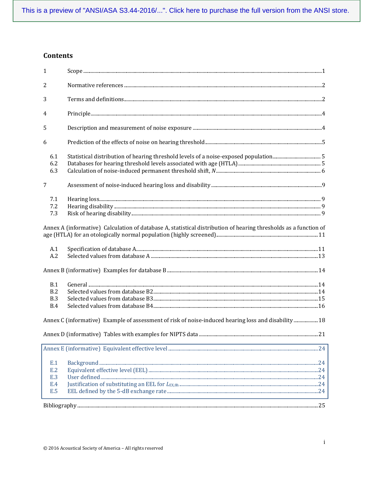## Contents

| $\mathbf{1}$                    |                                                                                                                  |  |
|---------------------------------|------------------------------------------------------------------------------------------------------------------|--|
| 2                               |                                                                                                                  |  |
| 3                               |                                                                                                                  |  |
| 4                               |                                                                                                                  |  |
| 5                               |                                                                                                                  |  |
| 6                               |                                                                                                                  |  |
| 6.1<br>6.2<br>6.3               |                                                                                                                  |  |
| $\overline{7}$                  |                                                                                                                  |  |
| 7.1<br>7.2<br>7.3               |                                                                                                                  |  |
|                                 | Annex A (informative) Calculation of database A, statistical distribution of hearing thresholds as a function of |  |
| A.1<br>A.2                      |                                                                                                                  |  |
|                                 |                                                                                                                  |  |
| B.1<br>B.2<br>B.3<br><b>B.4</b> |                                                                                                                  |  |
|                                 | Annex C (informative) Example of assessment of risk of noise-induced hearing loss and disability 18              |  |
|                                 |                                                                                                                  |  |
|                                 |                                                                                                                  |  |
| E.1<br>E.2<br>E.3<br>E.4<br>E.5 |                                                                                                                  |  |
|                                 |                                                                                                                  |  |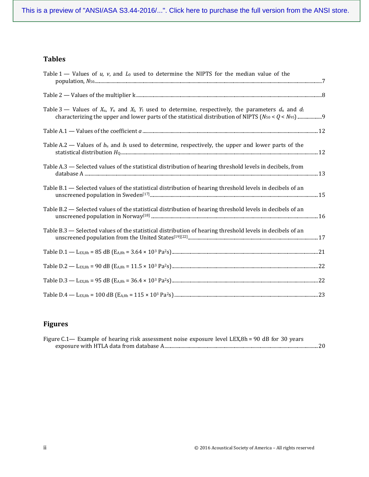## **Tables**

| Table 1 — Values of u, v, and $L_0$ used to determine the NIPTS for the median value of the                         |  |
|---------------------------------------------------------------------------------------------------------------------|--|
|                                                                                                                     |  |
| Table 3 — Values of $X_u$ , $Y_u$ and $X_i$ , $Y_1$ used to determine, respectively, the parameters $d_u$ and $d_1$ |  |
|                                                                                                                     |  |
| Table A.2 — Values of $b_u$ and $b_l$ used to determine, respectively, the upper and lower parts of the             |  |
| Table A.3 — Selected values of the statistical distribution of hearing threshold levels in decibels, from           |  |
| Table B.1 — Selected values of the statistical distribution of hearing threshold levels in decibels of an           |  |
| Table B.2 — Selected values of the statistical distribution of hearing threshold levels in decibels of an           |  |
| Table B.3 — Selected values of the statistical distribution of hearing threshold levels in decibels of an           |  |
|                                                                                                                     |  |
|                                                                                                                     |  |
|                                                                                                                     |  |
|                                                                                                                     |  |

## **Figures**

| Figure C.1— Example of hearing risk assessment noise exposure level LEX, $8h = 90$ dB for 30 years |  |
|----------------------------------------------------------------------------------------------------|--|
|                                                                                                    |  |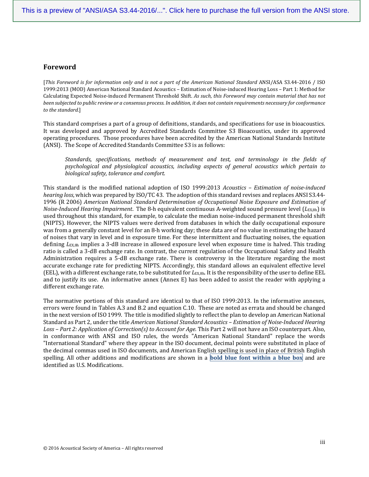#### **Foreword**

[This Foreword is for information only and is not a part of the American National Standard ANSI/ASA S3.44-2016 / ISO 1999:2013 (MOD) American National Standard Acoustics – Estimation of Noise-induced Hearing Loss – Part 1: Method for Calculating Expected Noise‐induced Permanent Threshold Shift. *As such, this Foreword may contain material that has not* been subjected to public review or a consensus process. In addition, it does not contain requirements necessary for conformance *to the standard.*] 

This standard comprises a part of a group of definitions, standards, and specifications for use in bioacoustics. It was developed and approved by Accredited Standards Committee S3 Bioacoustics, under its approved operating procedures. Those procedures have been accredited by the American National Standards Institute (ANSI). The Scope of Accredited Standards Committee S3 is as follows:

*Standards, specifications, methods of measurement and test, and terminology in the fields of psychological and physiological acoustics, including aspects of general acoustics which pertain to biological safety, tolerance and comfort.*

This standard is the modified national adoption of ISO 1999:2013 *Acoustics – Estimation of noise‐induced hearing* loss, which was prepared by ISO/TC 43. The adoption of this standard revises and replaces ANSI S3.44-1996 (R 2006) *American National Standard Determination of Occupational Noise Exposure and Estimation of Noise‐Induced Hearing Impairment*. The 8‐h equivalent continuous A‐weighted sound pressure level (*L*EX,8h) is used throughout this standard, for example, to calculate the median noise-induced permanent threshold shift (NIPTS). However, the NIPTS values were derived from databases in which the daily occupational exposure was from a generally constant level for an 8-h working day; these data are of no value in estimating the hazard of noises that vary in level and in exposure time. For these intermittent and fluctuating noises, the equation defining  $L_{\text{EX,8h}}$  implies a 3-dB increase in allowed exposure level when exposure time is halved. This trading ratio is called a 3-dB exchange rate. In contrast, the current regulation of the Occupational Safety and Health Administration requires a 5-dB exchange rate. There is controversy in the literature regarding the most accurate exchange rate for predicting NIPTS. Accordingly, this standard allows an equivalent effective level (EEL), with a different exchange rate, to be substituted for  $L_{EX,8h}$ . It is the responsibility of the user to define EEL and to justify its use. An informative annex (Annex E) has been added to assist the reader with applying a different exchange rate.

The normative portions of this standard are identical to that of ISO 1999:2013. In the informative annexes, errors were found in Tables A.3 and B.2 and equation C.10. These are noted as errata and should be changed in the next version of ISO 1999. The title is modified slightly to reflect the plan to develop an American National Standard as Part 2, under the title *American National Standard Acoustics – Estimation of Noise‐Induced Hearing Loss* – *Part* 2: *Application of Correction(s) to Account for Age.* This Part 2 will not have an ISO counterpart. Also, in conformance with ANSI and ISO rules, the words "American National Standard" replace the words "International Standard" where they appear in the ISO document, decimal points were substituted in place of the decimal commas used in ISO documents, and American English spelling is used in place of British English spelling. All other additions and modifications are shown in a **bold blue font within a blue box** and are identified as U.S. Modifications.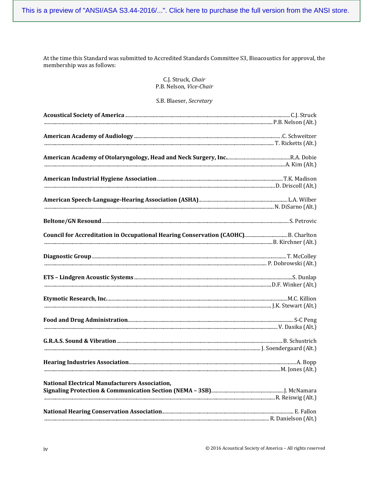At the time this Standard was submitted to Accredited Standards Committee S3, Bioacoustics for approval, the membership was as follows:

| C.J. Struck, Chair      |
|-------------------------|
| P.B. Nelson, Vice-Chair |

S.B. Blaeser, Secretary

| <b>National Electrical Manufacturers Association,</b> |
|-------------------------------------------------------|
|                                                       |
|                                                       |
|                                                       |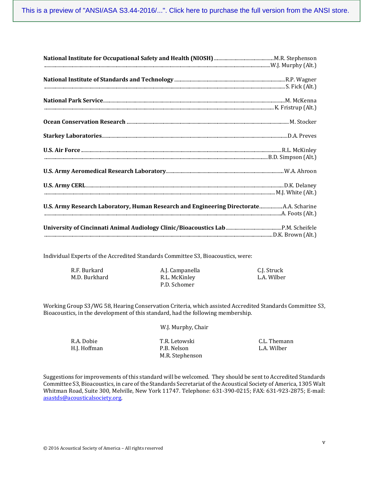| U.S. Army Research Laboratory, Human Research and Engineering Directorate A.A. Scharine |  |
|-----------------------------------------------------------------------------------------|--|
|                                                                                         |  |
|                                                                                         |  |
|                                                                                         |  |

Individual Experts of the Accredited Standards Committee S3, Bioacoustics, were:

| R.F. Burkard  | A.J. Campanella | C.J. Struck |
|---------------|-----------------|-------------|
| M.D. Burkhard | R.L. McKinley   | L.A. Wilber |
|               | P.D. Schomer    |             |

Working Group S3/WG 58, Hearing Conservation Criteria, which assisted Accredited Standards Committee S3, Bioacoustics, in the development of this standard, had the following membership.

|                            | W.J. Murphy, Chair                              |                             |
|----------------------------|-------------------------------------------------|-----------------------------|
| R.A. Dobie<br>H.J. Hoffman | T.R. Letowski<br>P.B. Nelson<br>M.R. Stephenson | C.L. Themann<br>L.A. Wilber |

Suggestions for improvements of this standard will be welcomed. They should be sent to Accredited Standards Committee S3, Bioacoustics, in care of the Standards Secretariat of the Acoustical Society of America, 1305 Walt Whitman Road, Suite 300, Melville, New York 11747. Telephone: 631-390-0215; FAX: 631-923-2875; E-mail: asastds@acousticalsociety.org.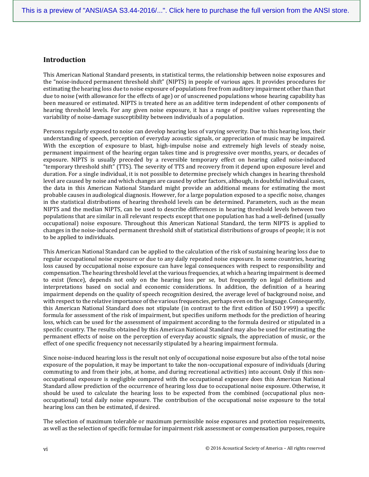### **Introduction**

This American National Standard presents, in statistical terms, the relationship between noise exposures and the "noise-induced permanent threshold shift" (NIPTS) in people of various ages. It provides procedures for estimating the hearing loss due to noise exposure of populations free from auditory impairment other than that due to noise (with allowance for the effects of age) or of unscreened populations whose hearing capability has been measured or estimated. NIPTS is treated here as an additive term independent of other components of hearing threshold levels. For any given noise exposure, it has a range of positive values representing the variability of noise-damage susceptibility between individuals of a population.

Persons regularly exposed to noise can develop hearing loss of varying severity. Due to this hearing loss, their understanding of speech, perception of everyday acoustic signals, or appreciation of music may be impaired. With the exception of exposure to blast, high-impulse noise and extremely high levels of steady noise, permanent impairment of the hearing organ takes time and is progressive over months, years, or decades of exposure. NIPTS is usually preceded by a reversible temporary effect on hearing called noise-induced "temporary threshold shift" (TTS). The severity of TTS and recovery from it depend upon exposure level and duration. For a single individual, it is not possible to determine precisely which changes in hearing threshold level are caused by noise and which changes are caused by other factors, although, in doubtful individual cases, the data in this American National Standard might provide an additional means for estimating the most probable causes in audiological diagnosis. However, for a large population exposed to a specific noise, changes in the statistical distributions of hearing threshold levels can be determined. Parameters, such as the mean NIPTS and the median NIPTS, can be used to describe differences in hearing threshold levels between two populations that are similar in all relevant respects except that one population has had a well-defined (usually occupational) noise exposure. Throughout this American National Standard, the term NIPTS is applied to changes in the noise-induced permanent threshold shift of statistical distributions of groups of people; it is not to be applied to individuals.

This American National Standard can be applied to the calculation of the risk of sustaining hearing loss due to regular occupational noise exposure or due to any daily repeated noise exposure. In some countries, hearing loss caused by occupational noise exposure can have legal consequences with respect to responsibility and compensation. The hearing threshold level at the various frequencies, at which a hearing impairment is deemed to exist (fence), depends not only on the hearing loss per se, but frequently on legal definitions and interpretations based on social and economic considerations. In addition, the definition of a hearing impairment depends on the quality of speech recognition desired, the average level of background noise, and with respect to the relative importance of the various frequencies, perhaps even on the language. Consequently, this American National Standard does not stipulate (in contrast to the first edition of ISO 1999) a specific formula for assessment of the risk of impairment, but specifies uniform methods for the prediction of hearing loss, which can be used for the assessment of impairment according to the formula desired or stipulated in a specific country. The results obtained by this American National Standard may also be used for estimating the permanent effects of noise on the perception of everyday acoustic signals, the appreciation of music, or the effect of one specific frequency not necessarily stipulated by a hearing impairment formula.

Since noise-induced hearing loss is the result not only of occupational noise exposure but also of the total noise exposure of the population, it may be important to take the non-occupational exposure of individuals (during commuting to and from their jobs, at home, and during recreational activities) into account. Only if this nonoccupational exposure is negligible compared with the occupational exposure does this American National Standard allow prediction of the occurrence of hearing loss due to occupational noise exposure. Otherwise, it should be used to calculate the hearing loss to be expected from the combined (occupational plus nonoccupational) total daily noise exposure. The contribution of the occupational noise exposure to the total hearing loss can then be estimated, if desired.

The selection of maximum tolerable or maximum permissible noise exposures and protection requirements, as well as the selection of specific formulae for impairment risk assessment or compensation purposes, require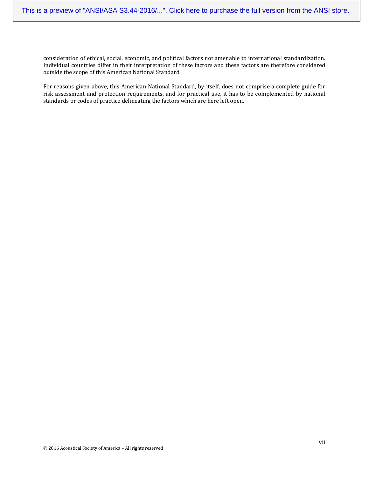consideration of ethical, social, economic, and political factors not amenable to international standardization. Individual countries differ in their interpretation of these factors and these factors are therefore considered outside the scope of this American National Standard.

For reasons given above, this American National Standard, by itself, does not comprise a complete guide for risk assessment and protection requirements, and for practical use, it has to be complemented by national standards or codes of practice delineating the factors which are here left open.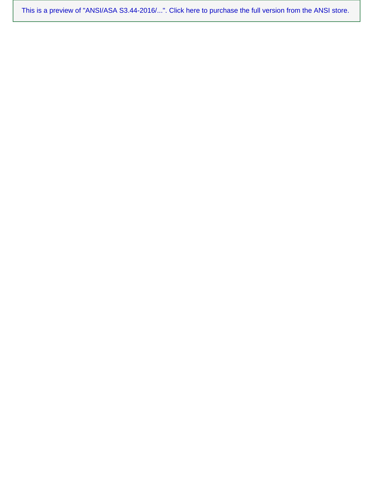[This is a preview of "ANSI/ASA S3.44-2016/...". Click here to purchase the full version from the ANSI store.](https://webstore.ansi.org/Standards/ASA/ANSIASAS3442016PartISO19992013?source=preview)